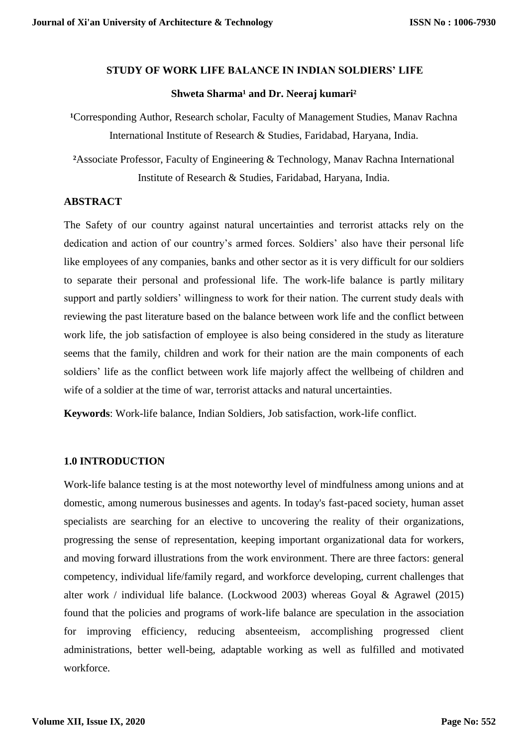#### **STUDY OF WORK LIFE BALANCE IN INDIAN SOLDIERS' LIFE**

## **Shweta Sharma<sup>1</sup> and Dr. Neeraj kumari<sup>2</sup>**

<sup>1</sup>Corresponding Author, Research scholar, Faculty of Management Studies, Manav Rachna International Institute of Research & Studies, Faridabad, Haryana, India.

**²**Associate Professor, Faculty of Engineering & Technology, Manav Rachna International Institute of Research & Studies, Faridabad, Haryana, India.

## **ABSTRACT**

The Safety of our country against natural uncertainties and terrorist attacks rely on the dedication and action of our country's armed forces. Soldiers' also have their personal life like employees of any companies, banks and other sector as it is very difficult for our soldiers to separate their personal and professional life. The work-life balance is partly military support and partly soldiers' willingness to work for their nation. The current study deals with reviewing the past literature based on the balance between work life and the conflict between work life, the job satisfaction of employee is also being considered in the study as literature seems that the family, children and work for their nation are the main components of each soldiers' life as the conflict between work life majorly affect the wellbeing of children and wife of a soldier at the time of war, terrorist attacks and natural uncertainties.

**Keywords**: Work-life balance, Indian Soldiers, Job satisfaction, work-life conflict.

# **1.0 INTRODUCTION**

Work-life balance testing is at the most noteworthy level of mindfulness among unions and at domestic, among numerous businesses and agents. In today's fast-paced society, human asset specialists are searching for an elective to uncovering the reality of their organizations, progressing the sense of representation, keeping important organizational data for workers, and moving forward illustrations from the work environment. There are three factors: general competency, individual life/family regard, and workforce developing, current challenges that alter work / individual life balance. (Lockwood 2003) whereas Goyal & Agrawel (2015) found that the policies and programs of work-life balance are speculation in the association for improving efficiency, reducing absenteeism, accomplishing progressed client administrations, better well-being, adaptable working as well as fulfilled and motivated workforce.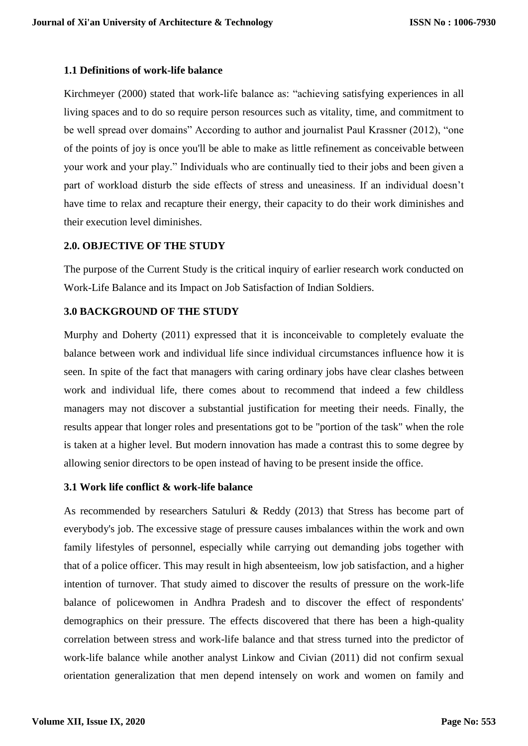# **1.1 Definitions of work-life balance**

Kirchmeyer (2000) stated that work-life balance as: "achieving satisfying experiences in all living spaces and to do so require person resources such as vitality, time, and commitment to be well spread over domains" According to author and journalist Paul Krassner (2012), "one of the points of joy is once you'll be able to make as little refinement as conceivable between your work and your play." Individuals who are continually tied to their jobs and been given a part of workload disturb the side effects of stress and uneasiness. If an individual doesn't have time to relax and recapture their energy, their capacity to do their work diminishes and their execution level diminishes.

# **2.0. OBJECTIVE OF THE STUDY**

The purpose of the Current Study is the critical inquiry of earlier research work conducted on Work-Life Balance and its Impact on Job Satisfaction of Indian Soldiers.

## **3.0 BACKGROUND OF THE STUDY**

Murphy and Doherty (2011) expressed that it is inconceivable to completely evaluate the balance between work and individual life since individual circumstances influence how it is seen. In spite of the fact that managers with caring ordinary jobs have clear clashes between work and individual life, there comes about to recommend that indeed a few childless managers may not discover a substantial justification for meeting their needs. Finally, the results appear that longer roles and presentations got to be "portion of the task" when the role is taken at a higher level. But modern innovation has made a contrast this to some degree by allowing senior directors to be open instead of having to be present inside the office.

#### **3.1 Work life conflict & work-life balance**

As recommended by researchers Satuluri & Reddy (2013) that Stress has become part of everybody's job. The excessive stage of pressure causes imbalances within the work and own family lifestyles of personnel, especially while carrying out demanding jobs together with that of a police officer. This may result in high absenteeism, low job satisfaction, and a higher intention of turnover. That study aimed to discover the results of pressure on the work-life balance of policewomen in Andhra Pradesh and to discover the effect of respondents' demographics on their pressure. The effects discovered that there has been a high-quality correlation between stress and work-life balance and that stress turned into the predictor of work-life balance while another analyst Linkow and Civian (2011) did not confirm sexual orientation generalization that men depend intensely on work and women on family and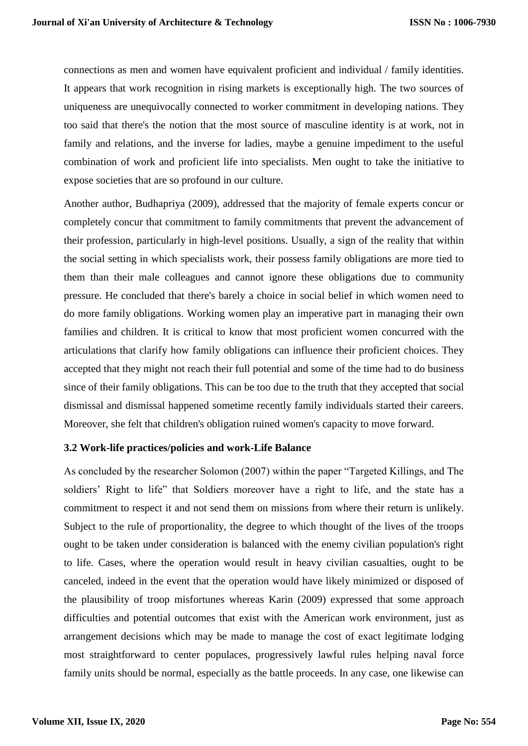connections as men and women have equivalent proficient and individual / family identities. It appears that work recognition in rising markets is exceptionally high. The two sources of uniqueness are unequivocally connected to worker commitment in developing nations. They too said that there's the notion that the most source of masculine identity is at work, not in family and relations, and the inverse for ladies, maybe a genuine impediment to the useful combination of work and proficient life into specialists. Men ought to take the initiative to expose societies that are so profound in our culture.

Another author, Budhapriya (2009), addressed that the majority of female experts concur or completely concur that commitment to family commitments that prevent the advancement of their profession, particularly in high-level positions. Usually, a sign of the reality that within the social setting in which specialists work, their possess family obligations are more tied to them than their male colleagues and cannot ignore these obligations due to community pressure. He concluded that there's barely a choice in social belief in which women need to do more family obligations. Working women play an imperative part in managing their own families and children. It is critical to know that most proficient women concurred with the articulations that clarify how family obligations can influence their proficient choices. They accepted that they might not reach their full potential and some of the time had to do business since of their family obligations. This can be too due to the truth that they accepted that social dismissal and dismissal happened sometime recently family individuals started their careers. Moreover, she felt that children's obligation ruined women's capacity to move forward.

# **3.2 Work-life practices/policies and work-Life Balance**

As concluded by the researcher Solomon (2007) within the paper "Targeted Killings, and The soldiers' Right to life" that Soldiers moreover have a right to life, and the state has a commitment to respect it and not send them on missions from where their return is unlikely. Subject to the rule of proportionality, the degree to which thought of the lives of the troops ought to be taken under consideration is balanced with the enemy civilian population's right to life. Cases, where the operation would result in heavy civilian casualties, ought to be canceled, indeed in the event that the operation would have likely minimized or disposed of the plausibility of troop misfortunes whereas Karin (2009) expressed that some approach difficulties and potential outcomes that exist with the American work environment, just as arrangement decisions which may be made to manage the cost of exact legitimate lodging most straightforward to center populaces, progressively lawful rules helping naval force family units should be normal, especially as the battle proceeds. In any case, one likewise can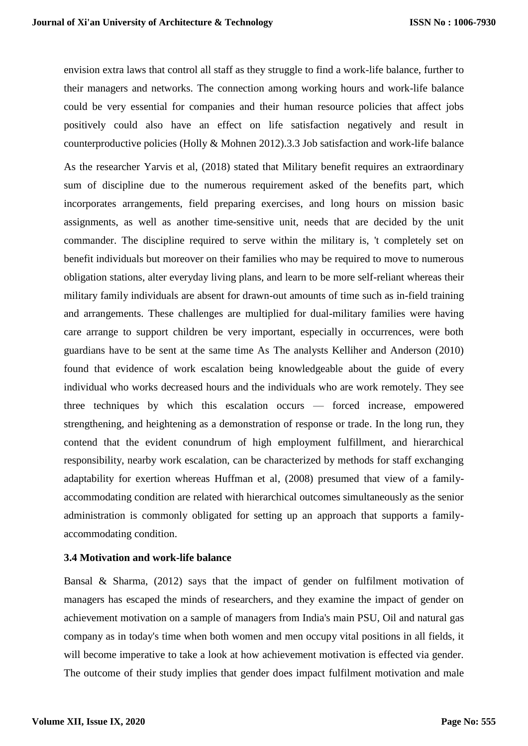envision extra laws that control all staff as they struggle to find a work-life balance, further to their managers and networks. The connection among working hours and work-life balance could be very essential for companies and their human resource policies that affect jobs positively could also have an effect on life satisfaction negatively and result in counterproductive policies (Holly & Mohnen 2012).3.3 Job satisfaction and work-life balance

As the researcher Yarvis et al, (2018) stated that Military benefit requires an extraordinary sum of discipline due to the numerous requirement asked of the benefits part, which incorporates arrangements, field preparing exercises, and long hours on mission basic assignments, as well as another time-sensitive unit, needs that are decided by the unit commander. The discipline required to serve within the military is, 't completely set on benefit individuals but moreover on their families who may be required to move to numerous obligation stations, alter everyday living plans, and learn to be more self-reliant whereas their military family individuals are absent for drawn-out amounts of time such as in-field training and arrangements. These challenges are multiplied for dual-military families were having care arrange to support children be very important, especially in occurrences, were both guardians have to be sent at the same time As The analysts Kelliher and Anderson (2010) found that evidence of work escalation being knowledgeable about the guide of every individual who works decreased hours and the individuals who are work remotely. They see three techniques by which this escalation occurs — forced increase, empowered strengthening, and heightening as a demonstration of response or trade. In the long run, they contend that the evident conundrum of high employment fulfillment, and hierarchical responsibility, nearby work escalation, can be characterized by methods for staff exchanging adaptability for exertion whereas Huffman et al, (2008) presumed that view of a familyaccommodating condition are related with hierarchical outcomes simultaneously as the senior administration is commonly obligated for setting up an approach that supports a familyaccommodating condition.

# **3.4 Motivation and work-life balance**

Bansal & Sharma, (2012) says that the impact of gender on fulfilment motivation of managers has escaped the minds of researchers, and they examine the impact of gender on achievement motivation on a sample of managers from India's main PSU, Oil and natural gas company as in today's time when both women and men occupy vital positions in all fields, it will become imperative to take a look at how achievement motivation is effected via gender. The outcome of their study implies that gender does impact fulfilment motivation and male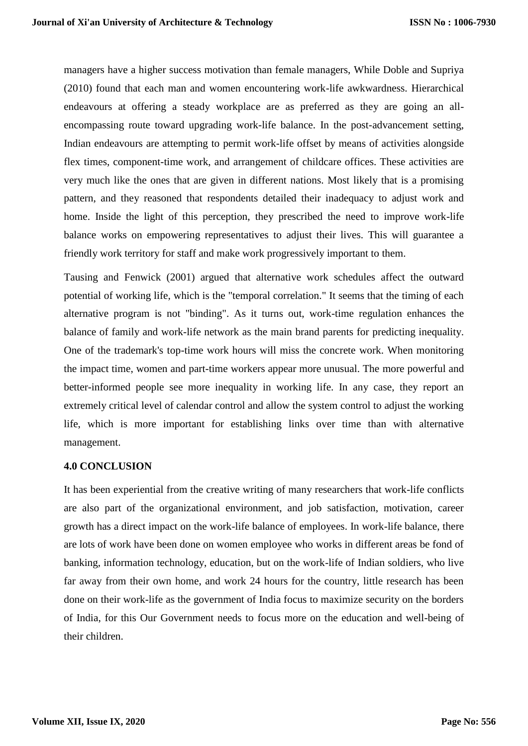managers have a higher success motivation than female managers, While Doble and Supriya (2010) found that each man and women encountering work-life awkwardness. Hierarchical endeavours at offering a steady workplace are as preferred as they are going an allencompassing route toward upgrading work-life balance. In the post-advancement setting, Indian endeavours are attempting to permit work-life offset by means of activities alongside flex times, component-time work, and arrangement of childcare offices. These activities are very much like the ones that are given in different nations. Most likely that is a promising pattern, and they reasoned that respondents detailed their inadequacy to adjust work and home. Inside the light of this perception, they prescribed the need to improve work-life balance works on empowering representatives to adjust their lives. This will guarantee a friendly work territory for staff and make work progressively important to them.

Tausing and Fenwick (2001) argued that alternative work schedules affect the outward potential of working life, which is the "temporal correlation." It seems that the timing of each alternative program is not "binding". As it turns out, work-time regulation enhances the balance of family and work-life network as the main brand parents for predicting inequality. One of the trademark's top-time work hours will miss the concrete work. When monitoring the impact time, women and part-time workers appear more unusual. The more powerful and better-informed people see more inequality in working life. In any case, they report an extremely critical level of calendar control and allow the system control to adjust the working life, which is more important for establishing links over time than with alternative management.

## **4.0 CONCLUSION**

It has been experiential from the creative writing of many researchers that work-life conflicts are also part of the organizational environment, and job satisfaction, motivation, career growth has a direct impact on the work-life balance of employees. In work-life balance, there are lots of work have been done on women employee who works in different areas be fond of banking, information technology, education, but on the work-life of Indian soldiers, who live far away from their own home, and work 24 hours for the country, little research has been done on their work-life as the government of India focus to maximize security on the borders of India, for this Our Government needs to focus more on the education and well-being of their children.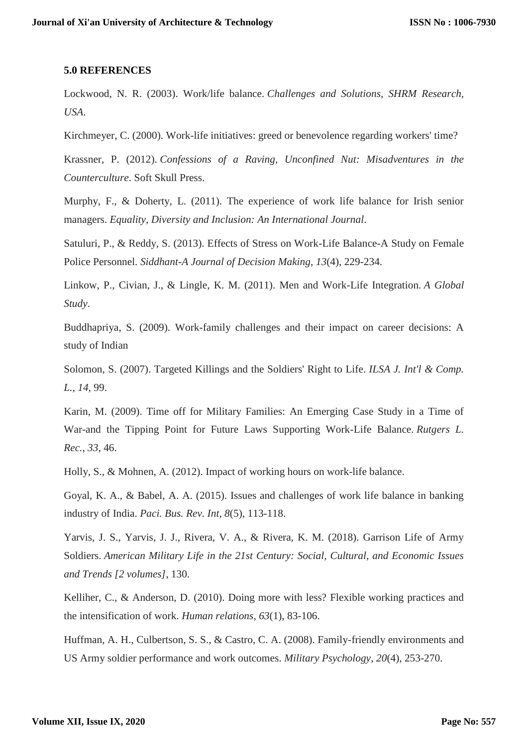### **5.0 REFERENCES**

Lockwood, N. R. (2003). Work/life balance. *Challenges and Solutions, SHRM Research, USA*.

Kirchmeyer, C. (2000). Work-life initiatives: greed or benevolence regarding workers' time?

Krassner, P. (2012). *Confessions of a Raving, Unconfined Nut: Misadventures in the Counterculture*. Soft Skull Press.

Murphy, F., & Doherty, L. (2011). The experience of work life balance for Irish senior managers. *Equality, Diversity and Inclusion: An International Journal*.

Satuluri, P., & Reddy, S. (2013). Effects of Stress on Work-Life Balance-A Study on Female Police Personnel. *Siddhant-A Journal of Decision Making*, *13*(4), 229-234.

Linkow, P., Civian, J., & Lingle, K. M. (2011). Men and Work-Life Integration. *A Global Study*.

Buddhapriya, S. (2009). Work-family challenges and their impact on career decisions: A study of Indian

Solomon, S. (2007). Targeted Killings and the Soldiers' Right to Life. *ILSA J. Int'l & Comp. L.*, *14*, 99.

Karin, M. (2009). Time off for Military Families: An Emerging Case Study in a Time of War-and the Tipping Point for Future Laws Supporting Work-Life Balance. *Rutgers L. Rec.*, *33*, 46.

Holly, S., & Mohnen, A. (2012). Impact of working hours on work-life balance.

Goyal, K. A., & Babel, A. A. (2015). Issues and challenges of work life balance in banking industry of India. *Paci. Bus. Rev. Int*, *8*(5), 113-118.

Yarvis, J. S., Yarvis, J. J., Rivera, V. A., & Rivera, K. M. (2018). Garrison Life of Army Soldiers. *American Military Life in the 21st Century: Social, Cultural, and Economic Issues and Trends [2 volumes]*, 130.

Kelliher, C., & Anderson, D. (2010). Doing more with less? Flexible working practices and the intensification of work. *Human relations*, *63*(1), 83-106.

Huffman, A. H., Culbertson, S. S., & Castro, C. A. (2008). Family-friendly environments and US Army soldier performance and work outcomes. *Military Psychology*, *20*(4), 253-270.